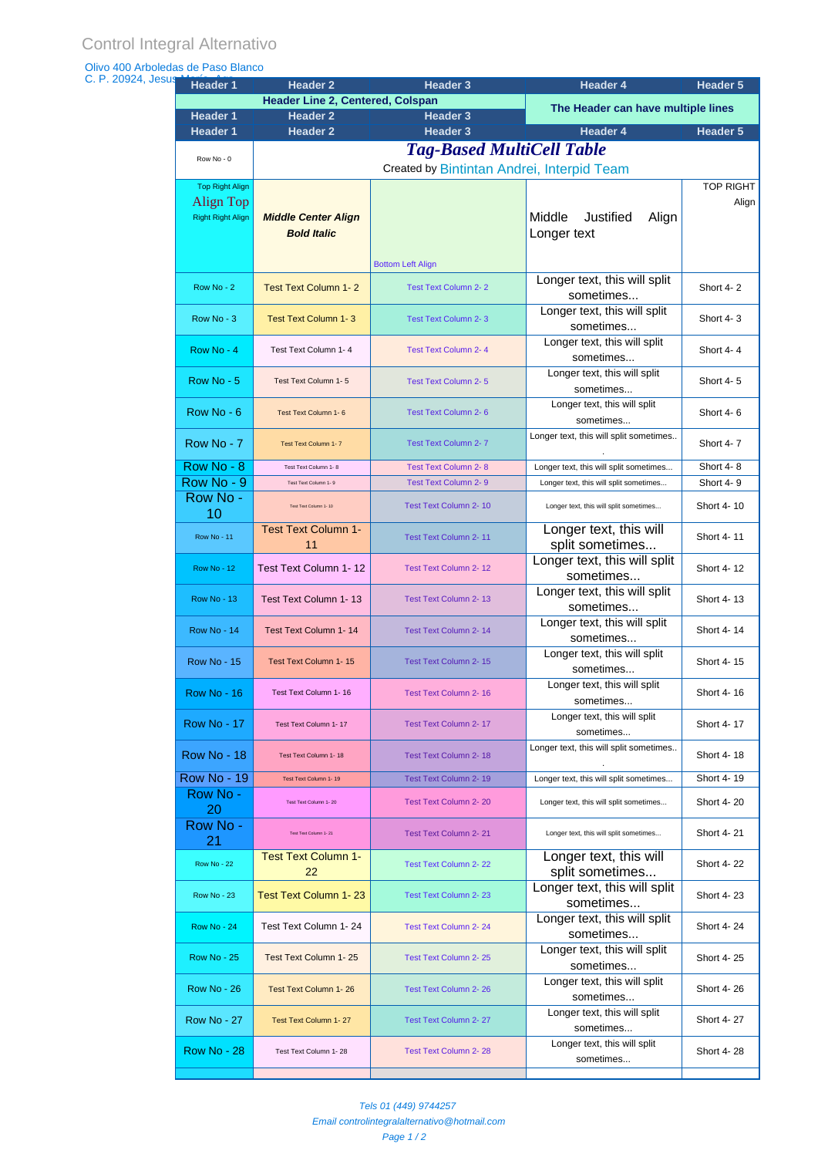## Olivo 400 Arboledas de Paso Blanco

| C. P. 20924, Jesus | <b>Header 1</b>          | <b>Header 2</b>                                                                | Header 3                     | Header 4                                            | Header 5   |  |  |
|--------------------|--------------------------|--------------------------------------------------------------------------------|------------------------------|-----------------------------------------------------|------------|--|--|
|                    |                          | <b>Header Line 2, Centered, Colspan</b>                                        |                              | The Header can have multiple lines                  |            |  |  |
|                    | <b>Header 1</b>          | <b>Header 2</b>                                                                | <b>Header 3</b>              |                                                     |            |  |  |
|                    | <b>Header 1</b>          | <b>Header 2</b>                                                                | <b>Header 3</b>              | <b>Header 4</b>                                     | Header 5   |  |  |
|                    | Row No - 0               | <b>Tag-Based MultiCell Table</b><br>Created by Bintintan Andrei, Interpid Team |                              |                                                     |            |  |  |
|                    |                          |                                                                                |                              |                                                     |            |  |  |
|                    | <b>Top Right Align</b>   |                                                                                |                              |                                                     | TOP RIGHT  |  |  |
|                    | Align Top                |                                                                                |                              |                                                     | Align      |  |  |
|                    | <b>Right Right Align</b> | <b>Middle Center Align</b>                                                     |                              | Justified<br>Middle<br>Align                        |            |  |  |
|                    |                          | <b>Bold Italic</b>                                                             |                              | Longer text                                         |            |  |  |
|                    |                          |                                                                                | <b>Bottom Left Align</b>     |                                                     |            |  |  |
|                    |                          |                                                                                |                              | Longer text, this will split                        |            |  |  |
|                    | Row No - 2               | <b>Test Text Column 1-2</b>                                                    | <b>Test Text Column 2-2</b>  | sometimes                                           | Short 4-2  |  |  |
|                    |                          |                                                                                |                              | Longer text, this will split                        |            |  |  |
|                    | Row No - 3               | <b>Test Text Column 1-3</b>                                                    | <b>Test Text Column 2-3</b>  | sometimes                                           | Short 4-3  |  |  |
|                    | Row No - 4               | Test Text Column 1-4                                                           | <b>Test Text Column 2-4</b>  | Longer text, this will split                        | Short 4-4  |  |  |
|                    |                          |                                                                                |                              | sometimes                                           |            |  |  |
|                    | Row No - 5               | Test Text Column 1-5                                                           | <b>Test Text Column 2-5</b>  | Longer text, this will split                        | Short 4-5  |  |  |
|                    |                          |                                                                                |                              | sometimes                                           |            |  |  |
|                    | Row No - 6               | Test Text Column 1-6                                                           | Test Text Column 2-6         | Longer text, this will split                        | Short 4-6  |  |  |
|                    |                          |                                                                                |                              | sometimes<br>Longer text, this will split sometimes |            |  |  |
|                    | Row No - 7               | Test Text Column 1-7                                                           | <b>Test Text Column 2-7</b>  |                                                     | Short 4-7  |  |  |
|                    | Row No - 8               | Test Text Column 1-8                                                           | <b>Test Text Column 2-8</b>  | Longer text, this will split sometimes              | Short 4-8  |  |  |
|                    | Row No - 9               | Test Text Column 1- 9                                                          | <b>Test Text Column 2-9</b>  | Longer text, this will split sometimes              | Short 4-9  |  |  |
|                    | Row No -                 | Test Text Column 1-10                                                          | Test Text Column 2-10        |                                                     | Short 4-10 |  |  |
|                    | 10                       |                                                                                |                              | Longer text, this will split sometimes              |            |  |  |
|                    | <b>Row No - 11</b>       | <b>Test Text Column 1-</b>                                                     | Test Text Column 2-11        | Longer text, this will                              | Short 4-11 |  |  |
|                    |                          | 11                                                                             |                              | split sometimes                                     |            |  |  |
|                    | <b>Row No - 12</b>       | Test Text Column 1-12                                                          | Test Text Column 2-12        | Longer text, this will split                        | Short 4-12 |  |  |
|                    |                          |                                                                                |                              | sometimes<br>Longer text, this will split           |            |  |  |
|                    | <b>Row No - 13</b>       | Test Text Column 1-13                                                          | Test Text Column 2-13        | sometimes                                           | Short 4-13 |  |  |
|                    |                          |                                                                                |                              | Longer text, this will split                        |            |  |  |
|                    | <b>Row No - 14</b>       | Test Text Column 1-14                                                          | <b>Test Text Column 2-14</b> | sometimes                                           | Short 4-14 |  |  |
|                    | <b>Row No - 15</b>       | Test Text Column 1-15                                                          | Test Text Column 2-15        | Longer text, this will split                        | Short 4-15 |  |  |
|                    |                          |                                                                                |                              | sometimes                                           |            |  |  |
|                    | Row No - 16              | Test Text Column 1-16                                                          | Test Text Column 2- 16       | Longer text, this will split                        | Short 4-16 |  |  |
|                    |                          |                                                                                |                              | sometimes                                           |            |  |  |
|                    | <b>Row No - 17</b>       | Test Text Column 1-17                                                          | Test Text Column 2-17        | Longer text, this will split<br>sometimes           | Short 4-17 |  |  |
|                    |                          |                                                                                |                              | Longer text, this will split sometimes              |            |  |  |
|                    | <b>Row No - 18</b>       | Test Text Column 1-18                                                          | Test Text Column 2-18        |                                                     | Short 4-18 |  |  |
|                    | <b>Row No - 19</b>       | Test Text Column 1-19                                                          | Test Text Column 2-19        | Longer text, this will split sometimes              | Short 4-19 |  |  |
|                    | Row No -                 | Test Text Column 1-20                                                          | <b>Test Text Column 2-20</b> | Longer text, this will split sometimes              | Short 4-20 |  |  |
|                    | 20                       |                                                                                |                              |                                                     |            |  |  |
|                    | Row No -                 | Test Text Column 1-21                                                          | Test Text Column 2-21        | Longer text, this will split sometimes              | Short 4-21 |  |  |
|                    | 21                       | <b>Test Text Column 1-</b>                                                     |                              |                                                     |            |  |  |
|                    | <b>Row No - 22</b>       | 22                                                                             | Test Text Column 2-22        | Longer text, this will<br>split sometimes           | Short 4-22 |  |  |
|                    |                          |                                                                                |                              | Longer text, this will split                        |            |  |  |
|                    | <b>Row No - 23</b>       | <b>Test Text Column 1-23</b>                                                   | Test Text Column 2-23        | sometimes                                           | Short 4-23 |  |  |
|                    |                          |                                                                                |                              | Longer text, this will split                        |            |  |  |
|                    | <b>Row No - 24</b>       | Test Text Column 1-24                                                          | Test Text Column 2-24        | sometimes                                           | Short 4-24 |  |  |
|                    | <b>Row No - 25</b>       | Test Text Column 1-25                                                          | Test Text Column 2-25        | Longer text, this will split                        | Short 4-25 |  |  |
|                    |                          |                                                                                |                              | sometimes                                           |            |  |  |
|                    | <b>Row No - 26</b>       | <b>Test Text Column 1-26</b>                                                   | <b>Test Text Column 2-26</b> | Longer text, this will split                        | Short 4-26 |  |  |
|                    |                          |                                                                                |                              | sometimes<br>Longer text, this will split           |            |  |  |
|                    | <b>Row No - 27</b>       | Test Text Column 1-27                                                          | <b>Test Text Column 2-27</b> | sometimes                                           | Short 4-27 |  |  |
|                    |                          |                                                                                |                              | Longer text, this will split                        |            |  |  |
|                    | <b>Row No - 28</b>       | Test Text Column 1-28                                                          | <b>Test Text Column 2-28</b> | sometimes                                           | Short 4-28 |  |  |
|                    |                          |                                                                                |                              |                                                     |            |  |  |